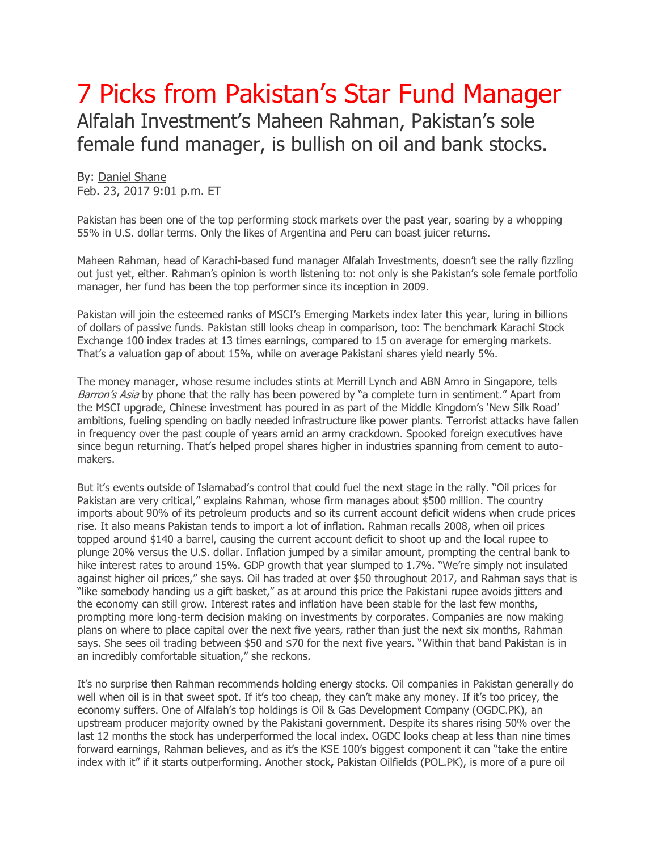## 7 Picks from Pakistan's Star Fund Manager Alfalah Investment's Maheen Rahman, Pakistan's sole female fund manager, is bullish on oil and bank stocks.

By: [Daniel Shane](http://online.barrons.com/public/search/results.html?KEYWORDS=%22DANIEL%20SHANE%22&ARTICLESEARCHQUERY_PARSER=bylineOR) Feb. 23, 2017 9:01 p.m. ET

Pakistan has been one of the top performing stock markets over the past year, soaring by a whopping 55% in U.S. dollar terms. Only the likes of Argentina and Peru can boast juicer returns.

Maheen Rahman, head of Karachi-based fund manager Alfalah Investments, doesn't see the rally fizzling out just yet, either. Rahman's opinion is worth listening to: not only is she Pakistan's sole female portfolio manager, her fund has been the top performer since its inception in 2009.

Pakistan will join the esteemed ranks of MSCI's Emerging Markets index later this year, luring in billions of dollars of passive funds. Pakistan still looks cheap in comparison, too: The benchmark Karachi Stock Exchange 100 index trades at 13 times earnings, compared to 15 on average for emerging markets. That's a valuation gap of about 15%, while on average Pakistani shares yield nearly 5%.

The money manager, whose resume includes stints at Merrill Lynch and ABN Amro in Singapore, tells Barron's Asia by phone that the rally has been powered by "a complete turn in sentiment." Apart from the MSCI upgrade, Chinese investment has poured in as part of the Middle Kingdom's 'New Silk Road' ambitions, fueling spending on badly needed infrastructure like power plants. Terrorist attacks have fallen in frequency over the past couple of years amid an army crackdown. Spooked foreign executives have since begun returning. That's helped propel shares higher in industries spanning from cement to automakers.

But it's events outside of Islamabad's control that could fuel the next stage in the rally. "Oil prices for Pakistan are very critical," explains Rahman, whose firm manages about \$500 million. The country imports about 90% of its petroleum products and so its current account deficit widens when crude prices rise. It also means Pakistan tends to import a lot of inflation. Rahman recalls 2008, when oil prices topped around \$140 a barrel, causing the current account deficit to shoot up and the local rupee to plunge 20% versus the U.S. dollar. Inflation jumped by a similar amount, prompting the central bank to hike interest rates to around 15%. GDP growth that year slumped to 1.7%. "We're simply not insulated against higher oil prices," she says. Oil has traded at over \$50 throughout 2017, and Rahman says that is "like somebody handing us a gift basket," as at around this price the Pakistani rupee avoids jitters and the economy can still grow. Interest rates and inflation have been stable for the last few months, prompting more long-term decision making on investments by corporates. Companies are now making plans on where to place capital over the next five years, rather than just the next six months, Rahman says. She sees oil trading between \$50 and \$70 for the next five years. "Within that band Pakistan is in an incredibly comfortable situation," she reckons.

It's no surprise then Rahman recommends holding energy stocks. Oil companies in Pakistan generally do well when oil is in that sweet spot. If it's too cheap, they can't make any money. If it's too pricey, the economy suffers. One of Alfalah's top holdings is [Oil & Gas Development Company](http://www.barrons.com/quote/stock/uk/xlon/ogdc?mod=DNH_S) [\(OGDC.PK\)](http://ogdc.pk/), an upstream producer majority owned by the Pakistani government. Despite its shares rising 50% over the last 12 months the stock has underperformed the local index. OGDC looks cheap at less than nine times forward earnings, Rahman believes, and as it's the KSE 100's biggest component it can "take the entire index with it" if it starts outperforming. Another stock**,** Pakistan Oilfields [\(POL.PK\)](http://pol.pk/), is more of a pure oil